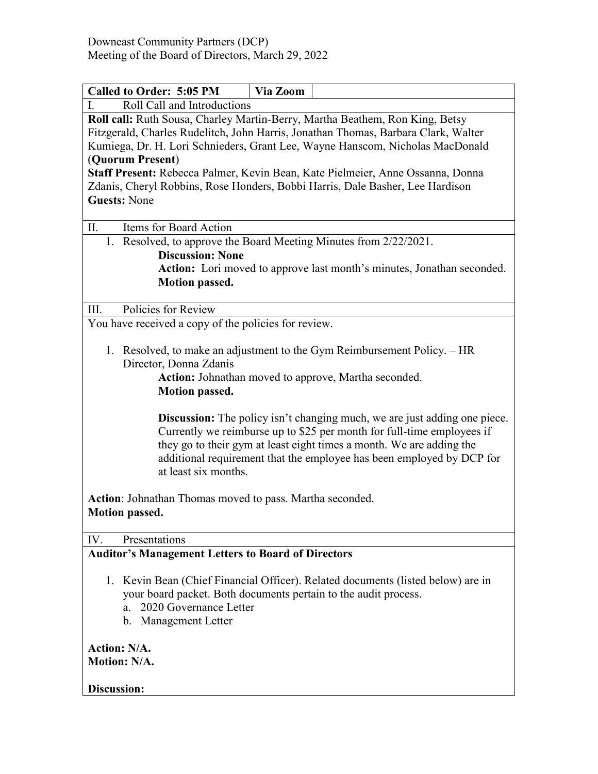| <b>Called to Order: 5:05 PM</b>                                                                                                                                                                                                                                                                                                                                                                 | Via Zoom |  |
|-------------------------------------------------------------------------------------------------------------------------------------------------------------------------------------------------------------------------------------------------------------------------------------------------------------------------------------------------------------------------------------------------|----------|--|
| Roll Call and Introductions<br>Ι.                                                                                                                                                                                                                                                                                                                                                               |          |  |
| Roll call: Ruth Sousa, Charley Martin-Berry, Martha Beathem, Ron King, Betsy                                                                                                                                                                                                                                                                                                                    |          |  |
| Fitzgerald, Charles Rudelitch, John Harris, Jonathan Thomas, Barbara Clark, Walter                                                                                                                                                                                                                                                                                                              |          |  |
| Kumiega, Dr. H. Lori Schnieders, Grant Lee, Wayne Hanscom, Nicholas MacDonald                                                                                                                                                                                                                                                                                                                   |          |  |
| (Quorum Present)                                                                                                                                                                                                                                                                                                                                                                                |          |  |
| Staff Present: Rebecca Palmer, Kevin Bean, Kate Pielmeier, Anne Ossanna, Donna                                                                                                                                                                                                                                                                                                                  |          |  |
| Zdanis, Cheryl Robbins, Rose Honders, Bobbi Harris, Dale Basher, Lee Hardison                                                                                                                                                                                                                                                                                                                   |          |  |
| <b>Guests: None</b>                                                                                                                                                                                                                                                                                                                                                                             |          |  |
|                                                                                                                                                                                                                                                                                                                                                                                                 |          |  |
| Items for Board Action<br>П.                                                                                                                                                                                                                                                                                                                                                                    |          |  |
| 1. Resolved, to approve the Board Meeting Minutes from 2/22/2021.                                                                                                                                                                                                                                                                                                                               |          |  |
| <b>Discussion: None</b>                                                                                                                                                                                                                                                                                                                                                                         |          |  |
| Action: Lori moved to approve last month's minutes, Jonathan seconded.                                                                                                                                                                                                                                                                                                                          |          |  |
| <b>Motion passed.</b>                                                                                                                                                                                                                                                                                                                                                                           |          |  |
|                                                                                                                                                                                                                                                                                                                                                                                                 |          |  |
| Policies for Review<br>III.                                                                                                                                                                                                                                                                                                                                                                     |          |  |
| You have received a copy of the policies for review.                                                                                                                                                                                                                                                                                                                                            |          |  |
|                                                                                                                                                                                                                                                                                                                                                                                                 |          |  |
| 1. Resolved, to make an adjustment to the Gym Reimbursement Policy. - HR<br>Director, Donna Zdanis<br>Action: Johnathan moved to approve, Martha seconded.<br><b>Motion passed.</b>                                                                                                                                                                                                             |          |  |
| <b>Discussion:</b> The policy isn't changing much, we are just adding one piece.<br>Currently we reimburse up to \$25 per month for full-time employees if<br>they go to their gym at least eight times a month. We are adding the<br>additional requirement that the employee has been employed by DCP for<br>at least six months.<br>Action: Johnathan Thomas moved to pass. Martha seconded. |          |  |
| <b>Motion passed.</b>                                                                                                                                                                                                                                                                                                                                                                           |          |  |
|                                                                                                                                                                                                                                                                                                                                                                                                 |          |  |
| Presentations<br>IV.                                                                                                                                                                                                                                                                                                                                                                            |          |  |
| <b>Auditor's Management Letters to Board of Directors</b>                                                                                                                                                                                                                                                                                                                                       |          |  |
| 1. Kevin Bean (Chief Financial Officer). Related documents (listed below) are in<br>your board packet. Both documents pertain to the audit process.<br>2020 Governance Letter<br>a.<br>b. Management Letter                                                                                                                                                                                     |          |  |
| <b>Action: N/A.</b><br><b>Motion: N/A.</b>                                                                                                                                                                                                                                                                                                                                                      |          |  |
| <b>Discussion:</b>                                                                                                                                                                                                                                                                                                                                                                              |          |  |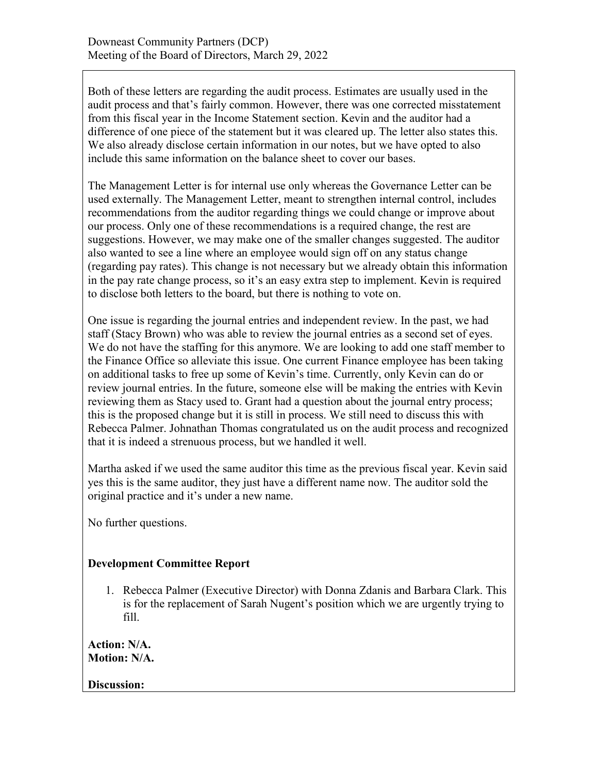Both of these letters are regarding the audit process. Estimates are usually used in the audit process and that's fairly common. However, there was one corrected misstatement from this fiscal year in the Income Statement section. Kevin and the auditor had a difference of one piece of the statement but it was cleared up. The letter also states this. We also already disclose certain information in our notes, but we have opted to also include this same information on the balance sheet to cover our bases.

The Management Letter is for internal use only whereas the Governance Letter can be used externally. The Management Letter, meant to strengthen internal control, includes recommendations from the auditor regarding things we could change or improve about our process. Only one of these recommendations is a required change, the rest are suggestions. However, we may make one of the smaller changes suggested. The auditor also wanted to see a line where an employee would sign off on any status change (regarding pay rates). This change is not necessary but we already obtain this information in the pay rate change process, so it's an easy extra step to implement. Kevin is required to disclose both letters to the board, but there is nothing to vote on.

One issue is regarding the journal entries and independent review. In the past, we had staff (Stacy Brown) who was able to review the journal entries as a second set of eyes. We do not have the staffing for this anymore. We are looking to add one staff member to the Finance Office so alleviate this issue. One current Finance employee has been taking on additional tasks to free up some of Kevin's time. Currently, only Kevin can do or review journal entries. In the future, someone else will be making the entries with Kevin reviewing them as Stacy used to. Grant had a question about the journal entry process; this is the proposed change but it is still in process. We still need to discuss this with Rebecca Palmer. Johnathan Thomas congratulated us on the audit process and recognized that it is indeed a strenuous process, but we handled it well.

Martha asked if we used the same auditor this time as the previous fiscal year. Kevin said yes this is the same auditor, they just have a different name now. The auditor sold the original practice and it's under a new name.

No further questions.

## **Development Committee Report**

1. Rebecca Palmer (Executive Director) with Donna Zdanis and Barbara Clark. This is for the replacement of Sarah Nugent's position which we are urgently trying to fill.

**Action: N/A. Motion: N/A.**

**Discussion:**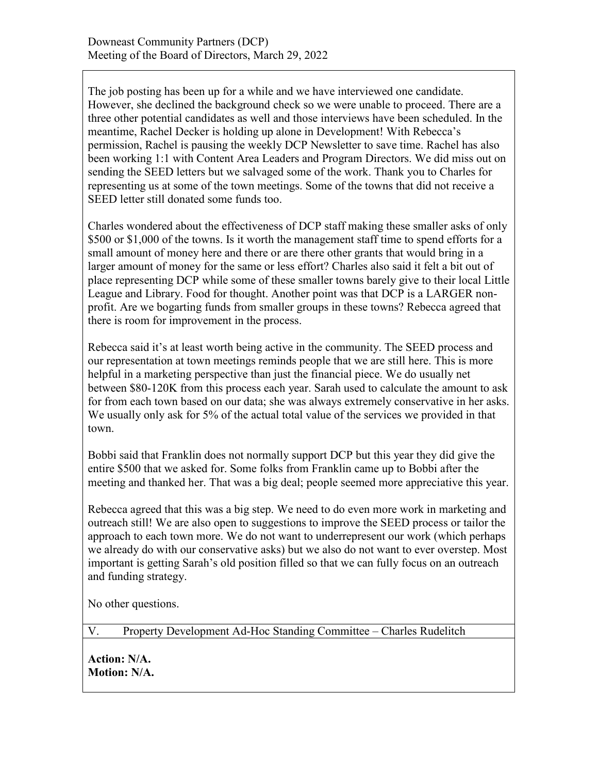The job posting has been up for a while and we have interviewed one candidate. However, she declined the background check so we were unable to proceed. There are a three other potential candidates as well and those interviews have been scheduled. In the meantime, Rachel Decker is holding up alone in Development! With Rebecca's permission, Rachel is pausing the weekly DCP Newsletter to save time. Rachel has also been working 1:1 with Content Area Leaders and Program Directors. We did miss out on sending the SEED letters but we salvaged some of the work. Thank you to Charles for representing us at some of the town meetings. Some of the towns that did not receive a SEED letter still donated some funds too.

Charles wondered about the effectiveness of DCP staff making these smaller asks of only \$500 or \$1,000 of the towns. Is it worth the management staff time to spend efforts for a small amount of money here and there or are there other grants that would bring in a larger amount of money for the same or less effort? Charles also said it felt a bit out of place representing DCP while some of these smaller towns barely give to their local Little League and Library. Food for thought. Another point was that DCP is a LARGER nonprofit. Are we bogarting funds from smaller groups in these towns? Rebecca agreed that there is room for improvement in the process.

Rebecca said it's at least worth being active in the community. The SEED process and our representation at town meetings reminds people that we are still here. This is more helpful in a marketing perspective than just the financial piece. We do usually net between \$80-120K from this process each year. Sarah used to calculate the amount to ask for from each town based on our data; she was always extremely conservative in her asks. We usually only ask for 5% of the actual total value of the services we provided in that town.

Bobbi said that Franklin does not normally support DCP but this year they did give the entire \$500 that we asked for. Some folks from Franklin came up to Bobbi after the meeting and thanked her. That was a big deal; people seemed more appreciative this year.

Rebecca agreed that this was a big step. We need to do even more work in marketing and outreach still! We are also open to suggestions to improve the SEED process or tailor the approach to each town more. We do not want to underrepresent our work (which perhaps we already do with our conservative asks) but we also do not want to ever overstep. Most important is getting Sarah's old position filled so that we can fully focus on an outreach and funding strategy.

No other questions.

V. Property Development Ad-Hoc Standing Committee – Charles Rudelitch

**Action: N/A. Motion: N/A.**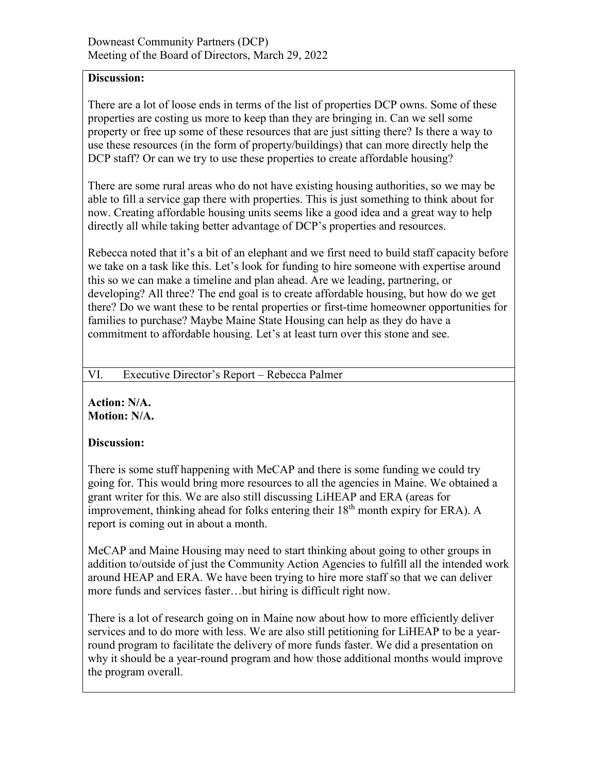## **Discussion:**

There are a lot of loose ends in terms of the list of properties DCP owns. Some of these properties are costing us more to keep than they are bringing in. Can we sell some property or free up some of these resources that are just sitting there? Is there a way to use these resources (in the form of property/buildings) that can more directly help the DCP staff? Or can we try to use these properties to create affordable housing?

There are some rural areas who do not have existing housing authorities, so we may be able to fill a service gap there with properties. This is just something to think about for now. Creating affordable housing units seems like a good idea and a great way to help directly all while taking better advantage of DCP's properties and resources.

Rebecca noted that it's a bit of an elephant and we first need to build staff capacity before we take on a task like this. Let's look for funding to hire someone with expertise around this so we can make a timeline and plan ahead. Are we leading, partnering, or developing? All three? The end goal is to create affordable housing, but how do we get there? Do we want these to be rental properties or first-time homeowner opportunities for families to purchase? Maybe Maine State Housing can help as they do have a commitment to affordable housing. Let's at least turn over this stone and see.

#### VI. Executive Director's Report – Rebecca Palmer

**Action: N/A. Motion: N/A.**

## **Discussion:**

There is some stuff happening with MeCAP and there is some funding we could try going for. This would bring more resources to all the agencies in Maine. We obtained a grant writer for this. We are also still discussing LiHEAP and ERA (areas for improvement, thinking ahead for folks entering their  $18<sup>th</sup>$  month expiry for ERA). A report is coming out in about a month.

MeCAP and Maine Housing may need to start thinking about going to other groups in addition to/outside of just the Community Action Agencies to fulfill all the intended work around HEAP and ERA. We have been trying to hire more staff so that we can deliver more funds and services faster…but hiring is difficult right now.

There is a lot of research going on in Maine now about how to more efficiently deliver services and to do more with less. We are also still petitioning for LiHEAP to be a yearround program to facilitate the delivery of more funds faster. We did a presentation on why it should be a year-round program and how those additional months would improve the program overall.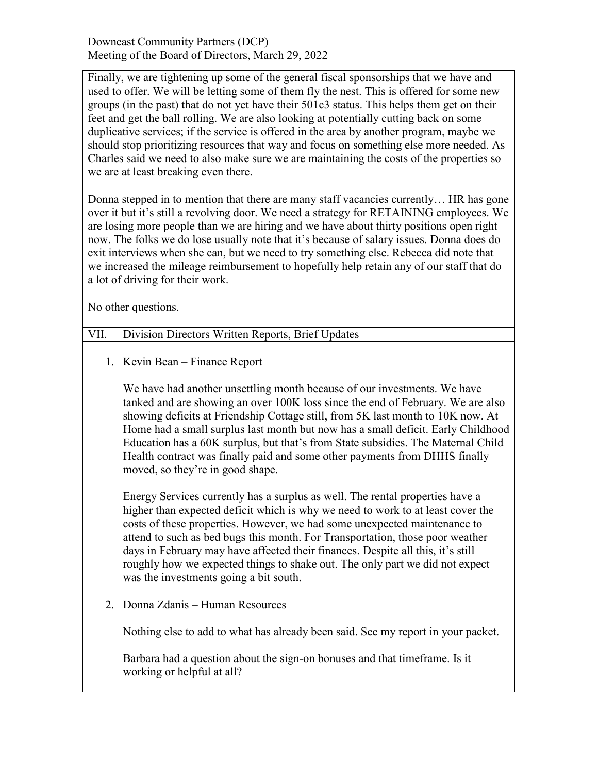Downeast Community Partners (DCP) Meeting of the Board of Directors, March 29, 2022

Finally, we are tightening up some of the general fiscal sponsorships that we have and used to offer. We will be letting some of them fly the nest. This is offered for some new groups (in the past) that do not yet have their 501c3 status. This helps them get on their feet and get the ball rolling. We are also looking at potentially cutting back on some duplicative services; if the service is offered in the area by another program, maybe we should stop prioritizing resources that way and focus on something else more needed. As Charles said we need to also make sure we are maintaining the costs of the properties so we are at least breaking even there.

Donna stepped in to mention that there are many staff vacancies currently… HR has gone over it but it's still a revolving door. We need a strategy for RETAINING employees. We are losing more people than we are hiring and we have about thirty positions open right now. The folks we do lose usually note that it's because of salary issues. Donna does do exit interviews when she can, but we need to try something else. Rebecca did note that we increased the mileage reimbursement to hopefully help retain any of our staff that do a lot of driving for their work.

No other questions.

# VII. Division Directors Written Reports, Brief Updates

1. Kevin Bean – Finance Report

We have had another unsettling month because of our investments. We have tanked and are showing an over 100K loss since the end of February. We are also showing deficits at Friendship Cottage still, from 5K last month to 10K now. At Home had a small surplus last month but now has a small deficit. Early Childhood Education has a 60K surplus, but that's from State subsidies. The Maternal Child Health contract was finally paid and some other payments from DHHS finally moved, so they're in good shape.

Energy Services currently has a surplus as well. The rental properties have a higher than expected deficit which is why we need to work to at least cover the costs of these properties. However, we had some unexpected maintenance to attend to such as bed bugs this month. For Transportation, those poor weather days in February may have affected their finances. Despite all this, it's still roughly how we expected things to shake out. The only part we did not expect was the investments going a bit south.

2. Donna Zdanis – Human Resources

Nothing else to add to what has already been said. See my report in your packet.

Barbara had a question about the sign-on bonuses and that timeframe. Is it working or helpful at all?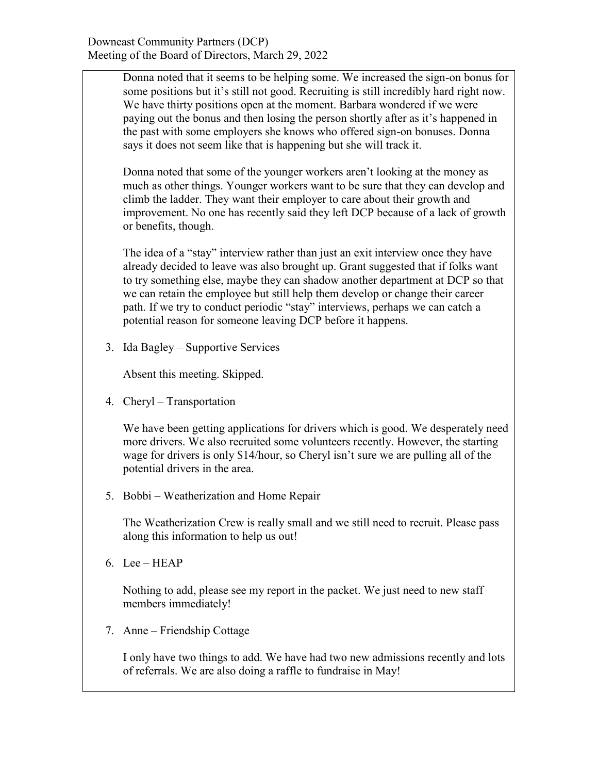Donna noted that it seems to be helping some. We increased the sign-on bonus for some positions but it's still not good. Recruiting is still incredibly hard right now. We have thirty positions open at the moment. Barbara wondered if we were paying out the bonus and then losing the person shortly after as it's happened in the past with some employers she knows who offered sign-on bonuses. Donna says it does not seem like that is happening but she will track it.

Donna noted that some of the younger workers aren't looking at the money as much as other things. Younger workers want to be sure that they can develop and climb the ladder. They want their employer to care about their growth and improvement. No one has recently said they left DCP because of a lack of growth or benefits, though.

The idea of a "stay" interview rather than just an exit interview once they have already decided to leave was also brought up. Grant suggested that if folks want to try something else, maybe they can shadow another department at DCP so that we can retain the employee but still help them develop or change their career path. If we try to conduct periodic "stay" interviews, perhaps we can catch a potential reason for someone leaving DCP before it happens.

3. Ida Bagley – Supportive Services

Absent this meeting. Skipped.

4. Cheryl – Transportation

We have been getting applications for drivers which is good. We desperately need more drivers. We also recruited some volunteers recently. However, the starting wage for drivers is only \$14/hour, so Cheryl isn't sure we are pulling all of the potential drivers in the area.

5. Bobbi – Weatherization and Home Repair

The Weatherization Crew is really small and we still need to recruit. Please pass along this information to help us out!

6. Lee – HEAP

Nothing to add, please see my report in the packet. We just need to new staff members immediately!

7. Anne – Friendship Cottage

I only have two things to add. We have had two new admissions recently and lots of referrals. We are also doing a raffle to fundraise in May!